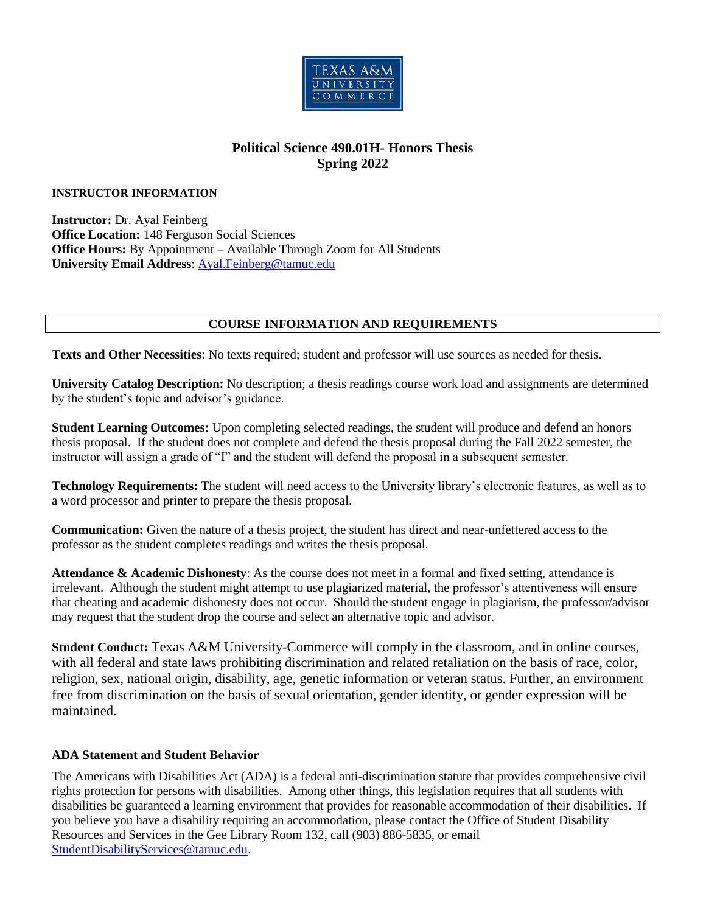

# **Political Science 490.01H- Honors Thesis Spring 2022**

#### **INSTRUCTOR INFORMATION**

**Instructor:** Dr. Ayal Feinberg **Office Location:** 148 Ferguson Social Sciences **Office Hours:** By Appointment – Available Through Zoom for All Students **University Email Address**: [Ayal.Feinberg@tamuc.edu](mailto:Ayal.Feinberg@tamuc.edu)

### **COURSE INFORMATION AND REQUIREMENTS**

**Texts and Other Necessities**: No texts required; student and professor will use sources as needed for thesis.

**University Catalog Description:** No description; a thesis readings course work load and assignments are determined by the student's topic and advisor's guidance.

**Student Learning Outcomes:** Upon completing selected readings, the student will produce and defend an honors thesis proposal. If the student does not complete and defend the thesis proposal during the Fall 2022 semester, the instructor will assign a grade of "I" and the student will defend the proposal in a subsequent semester.

**Technology Requirements:** The student will need access to the University library's electronic features, as well as to a word processor and printer to prepare the thesis proposal.

**Communication:** Given the nature of a thesis project, the student has direct and near-unfettered access to the professor as the student completes readings and writes the thesis proposal.

**Attendance & Academic Dishonesty**: As the course does not meet in a formal and fixed setting, attendance is irrelevant. Although the student might attempt to use plagiarized material, the professor's attentiveness will ensure that cheating and academic dishonesty does not occur. Should the student engage in plagiarism, the professor/advisor may request that the student drop the course and select an alternative topic and advisor.

**Student Conduct:** Texas A&M University-Commerce will comply in the classroom, and in online courses, with all federal and state laws prohibiting discrimination and related retaliation on the basis of race, color, religion, sex, national origin, disability, age, genetic information or veteran status. Further, an environment free from discrimination on the basis of sexual orientation, gender identity, or gender expression will be maintained.

### **ADA Statement and Student Behavior**

The Americans with Disabilities Act (ADA) is a federal anti-discrimination statute that provides comprehensive civil rights protection for persons with disabilities. Among other things, this legislation requires that all students with disabilities be guaranteed a learning environment that provides for reasonable accommodation of their disabilities. If you believe you have a disability requiring an accommodation, please contact the Office of Student Disability Resources and Services in the Gee Library Room 132, call (903) 886-5835, or email [StudentDisabilityServices@tamuc.edu.](mailto:StudentDisabilityServices@tamuc.edu)